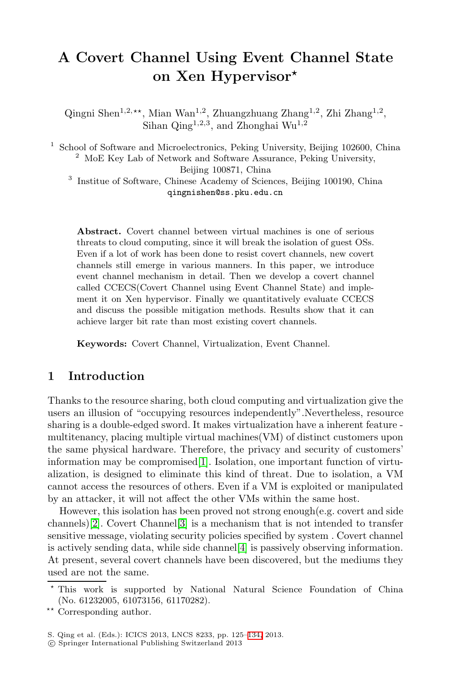# **A Covert Channel Using Event Channel State on Xen Hypervisor***-*

Qingni Shen<sup>1,2,\*\*</sup>, Mian Wan<sup>1,2</sup>, Zhuangzhuang Zhang<sup>1,2</sup>, Zhi Zhang<sup>1,2</sup>, Sihan  $\mathrm{Qing}^{1,2,3}$ , and Zhonghai  $\mathrm{Wu}^{1,2}$ 

 $^{\rm 1}$  School of Software and Microelectronics, Peking University, Beijing 102600, China <sup>2</sup> MoE Key Lab of Network and Software Assurance, Peking University,

Beijing 100871, China

<sup>3</sup> Institue of Software, Chinese Academy of Sciences, Beijing 100190, China qingnishen@ss.pku.edu.cn

**Abstract.** Covert channel between virtual machines is one of serious threats to cloud computing, since it will break the isolation of guest OSs. Even if a lot of work has been done to resist covert channels, new covert channels still emerge in various manners. In this paper, we introduce event channel mechanism in detail. Then we develop a covert channel called CCECS(Covert Channel using Event Channel State) and implement it on Xen hypervisor. Finally we quantitatively evaluate CCECS and discuss the possible mitigation methods. Results show that it can achieve larger bit rate than most existing covert channels.

**Keywords:** Covert Channel, Virtualization, Event Channel.

# **1 Introdu[cti](#page-8-0)on**

Thanks to the resource sharing, both cloud computing and virtualization give the users an illusion of "occupying resources independently".Nevertheless, resource sharing is a [do](#page-9-0)uble-edged sword. It makes virtualization have a inherent feature multitenancy, placing multiple virtual machines(VM) of distinct customers upon the same physical hard[war](#page-9-1)e. Therefore, the privacy and security of customers' information may be compromised[1]. Isolation, one important function of virtualization, is designed to eliminate this kind of threat. Due to isolation, a VM cannot access the resources of others. Even if a VM is exploited or manipulated by an attacker, it will not affect the other VMs within the same host.

However, this isolation has been proved not strong enough(e.g. covert and side channels)[2]. Covert Channel[3] is a mechanism that is not intended to transfer sensitive message, violatin[g sec](#page-9-2)urity policies specified by system . Covert channel is actively sending data, while side channel [4] is passively observing information. At present, several covert channels have been discovered, but the mediums they used are not the same.

 $\star$  This work is supported by National Natural Science Foundation of China (No. 61232005, 61073156, 61170282).

<sup>\*\*</sup> Corresponding author.

S. Qing et al. (Eds.): ICICS 2013, LNCS 8233, pp. 125–134, 2013.

<sup>-</sup>c Springer International Publishing Switzerland 2013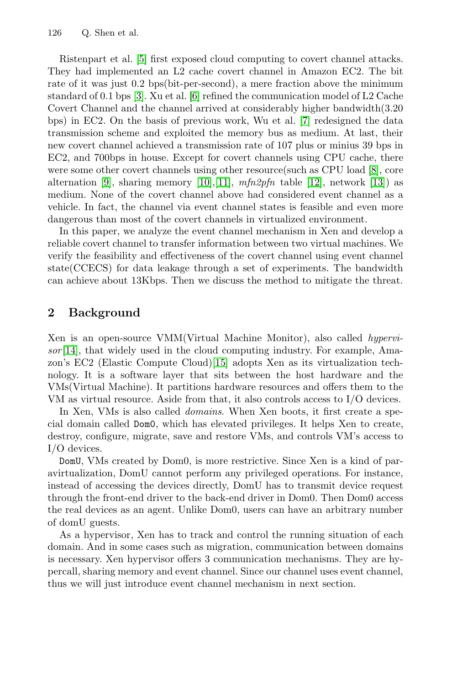126 Q. Shen et al.

Ristenpart et al. [5] first exposed cloud computing to covert channel attacks. They had implemented an L2 cache covert channel [in](#page-9-3) Amazon EC2. The bit rate of it was j[ust](#page-9-4) 0[.2 b](#page-9-5)ps(bit-per-secon[d\),](#page-9-6) a mere fra[ctio](#page-9-7)n above the minimum standard of 0.1 bps [3]. Xu et al. [6] refined the communication model of L2 Cache Covert Channel and the channel arrived at considerably higher bandwidth(3.20 bps) in EC2. On the basis of previous work, Wu et al. [7] redesigned the data transmission scheme and exploited the memory bus as medium. At last, their new covert channel achieved a transmission rate of 107 plus or minius 39 bps in EC2, and 700bps in house. Except for covert channels using CPU cache, there were some other covert channels using other resource(such as CPU load [8], core alternation [9], sharing memory [10],[11], *mfn2pfn* table [12], network [13]) as medium. None of the covert channel above had considered event channel as a vehicle. In fact, the channel via event channel states is feasible and even more dangerous than most of the covert channels in virtualized environment.

In this paper, we analyze the event channel mechanism in Xen and develop a reliable covert channel to transfer information between two virtual machines. We verify the feasibility and effectiveness of the covert channel using event channel state(CCECS) for [dat](#page-9-8)a leakage through a set of experiments. The bandwidth can achieve about 13Kbps. Then we discuss the method to mitigate the threat.

## **2 Background**

Xen is an open-source VMM(Virtual Machine Monitor), also called *hypervisor* [14], that widely used in the cloud computing industry. For example, Amazon's EC2 (Elastic Compute Cloud)[15] adopts Xen as its virtualization technology. It is a software layer that sits between the host hardware and the VMs(Virtual Machine). It partitions hardware resources and offers them to the VM as virtual resource. Aside from that, it also controls access to I/O devices.

In Xen, VMs is also called *domains*. When Xen boots, it first create a special domain called Dom0, which has elevated privileges. It helps Xen to create, destroy, configure, migrate, save and restore VMs, and controls VM's access to I/O devices.

DomU, VMs created by Dom0, is more restrictive. Since Xen is a kind of paravirtualization, DomU cannot perform any privileged operations. For instance, instead of accessing the devices directly, DomU has to transmit device request through the front-end driver to the back-end driver in Dom0. Then Dom0 access the real devices as an agent. Unlike Dom0, users can have an arbitrary number of domU guests.

As a hypervisor, Xen has to track and control the running situation of each domain. And in some cases such as migration, communication between domains is necessary. Xen hypervisor offers 3 communication mechanisms. They are hypercall, sharing memory and event channel. Since our channel uses event channel, thus we will just introduce event channel mechanism in next section.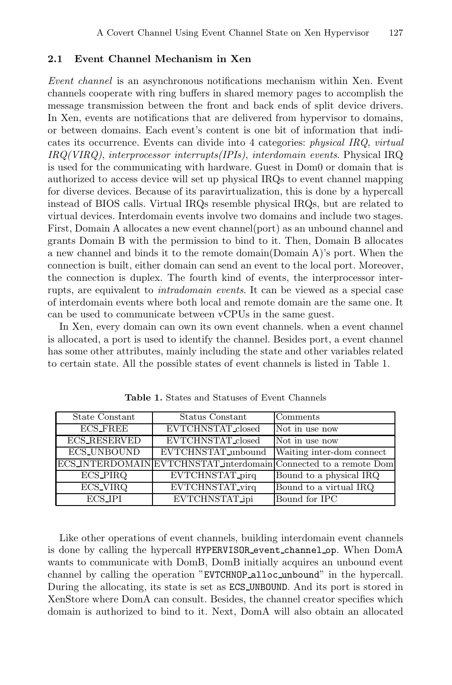#### **2.1 Event Channel Mechanism in Xen**

*Event channel* is an asynchronous notifications mechanism within Xen. Event channels cooperate with ring buffers in shared memory pages to accomplish the message transmission between the front and back ends of split device drivers. In Xen, events are notifications that are delivered from hypervisor to domains, or between domains. Each event's content is one bit of information that indicates its occurrence. Events can divide into 4 categories: *physical IRQ*, *virtual IRQ(VIRQ)*, *interprocessor interrupts(IPIs)*, *interdomain events*. Physical IRQ is used for the communicating with hardware. Guest in Dom0 or domain that is authorized to access device will set up physical IRQs to event channel mapping for diverse devices. Because of its paravirtualization, this is done by a hypercall instead of BIOS calls. Virtual IRQs resemble physical IRQs, but are related to virtual devices. Interdomain events involve two domains and include two stages. First, Domain A allocates a new event channel(port) as an unbound channel and grants Domain B with the permission to bind to it. Then, Domain B allocates a new channel and binds it to the remote domain(Domain A)'s port. When the connection is built, either domain can send an event to the local port. Moreover, the connection is duplex. The fourth kind of events, the interprocessor interrupts, are equivalent to *intradomain events*. It can be viewed as a special case of interdomain events where both local and remote domain are the same one. It can be used to communicate between vCPUs in the same guest.

In Xen, every domain can own its own event channels. when a event channel is allocated, a port is used to identify the channel. Besides port, a event channel has some other attributes, mainly including the state and other variables related to certain state. All the possible states of event channels is listed in Table 1.

| State Constant      | Status Constant                                                  | Comments                  |
|---------------------|------------------------------------------------------------------|---------------------------|
| <b>ECS FREE</b>     | EVTCHNSTAT_closed                                                | Not in use now            |
| <b>ECS_RESERVED</b> | EVTCHNSTAT_closed                                                | Not in use now            |
| <b>ECS_UNBOUND</b>  | EVTCHNSTAT_unbound                                               | Waiting inter-dom connect |
|                     | ECS_INTERDOMAIN EVTCHNSTAT_interdomain Connected to a remote Dom |                           |
| ECS_PIRQ            | EVTCHNSTAT_pirq                                                  | Bound to a physical IRQ   |
| <b>ECS_VIRQ</b>     | EVTCHNSTAT_virq                                                  | Bound to a virtual IRQ    |
| ECS_IPI             | EVTCHNSTAT_ipi                                                   | Bound for IPC             |

**Table 1.** States and Statuses of Event Channels

Like other operations of event channels, building interdomain event channels is done by calling the hypercall HYPERVISOR event channel op. When DomA wants to communicate with DomB, DomB initially acquires an unbound event channel by calling the operation "EVTCHNOP alloc unbound" in the hypercall. During the allocating, its state is set as ECS UNBOUND. And its port is stored in XenStore where DomA can consult. Besides, the channel creator specifies which domain is authorized to bind to it. Next, DomA will also obtain an allocated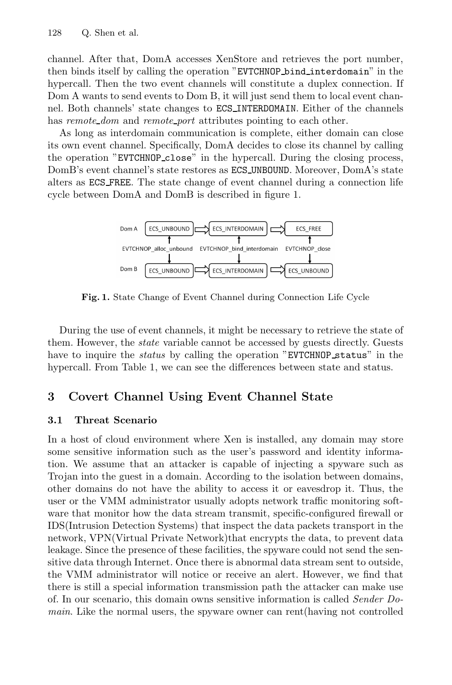channel. After that, DomA accesses XenStore and retrieves the port number, then binds itself by calling the operation "EVTCHNOP bind interdomain" in the hypercall. Then the two event channels will constitute a duplex connection. If Dom A wants to send events to Dom B, it will just send them to local event channel. Both channels' state changes to ECS INTERDOMAIN. Either of the channels has *remote\_dom* and *remote\_port* attributes pointing to each other.

As long as interdomain communication is complete, either domain can close its own event channel. Specifically, DomA decides to close its channel by calling the operation "EVTCHNOP close" in the hypercall. During the closing process, DomB's event channel's state restores as **ECS\_UNBOUND**. Moreover, DomA's state alters as ECS FREE. The state change of event channel during a connection life cycle between DomA and DomB is described in figure 1.



**Fig. 1.** State Change of Event Channel during Connection Life Cycle

During the use of event channels, it might be necessary to retrieve the state of them. However, the *state* variable cannot be accessed by guests directly. Guests have to inquire the *status* by calling the operation "EVTCHNOP\_status" in the hypercall. From Table 1, we can see the differences between state and status.

# **3 Covert Channel Using Event Channel State**

# **3.1 Threat Scenario**

In a host of cloud environment where Xen is installed, any domain may store some sensitive information such as the user's password and identity information. We assume that an attacker is capable of injecting a spyware such as Trojan into the guest in a domain. According to the isolation between domains, other domains do not have the ability to access it or eavesdrop it. Thus, the user or the VMM administrator usually adopts network traffic monitoring software that monitor how the data stream transmit, specific-configured firewall or IDS(Intrusion Detection Systems) that inspect the data packets transport in the network, VPN(Virtual Private Network)that encrypts the data, to prevent data leakage. Since the presence of these facilities, the spyware could not send the sensitive data through Internet. Once there is abnormal data stream sent to outside, the VMM administrator will notice or receive an alert. However, we find that there is still a special information transmission path the attacker can make use of. In our scenario, this domain owns sensitive information is called *Sender Domain*. Like the normal users, the spyware owner can rent(having not controlled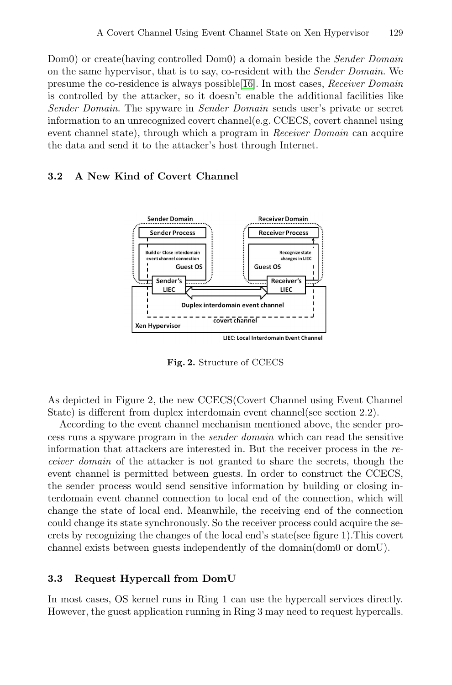Dom0) or create(having controlled Dom0) a domain beside the *Sender Domain* on the same hypervisor, that is to say, co-resident with the *Sender Domain*. We presume the co-residence is always possible[16]. In most cases, *Receiver Domain* is controlled by the attacker, so it doesn't enable the additional facilities like *Sender Domain*. The spyware in *Sender Domain* sends user's private or secret information to an unrecognized covert channel(e.g. CCECS, covert channel using event channel state), through which a program in *Receiver Domain* can acquire the data and send it to the attacker's host through Internet.

#### **3.2 A New Kind of Covert Channel**



**Fig. 2.** Structure of CCECS

As depicted in Figure 2, the new CCECS(Covert Channel using Event Channel State) is different from duplex interdomain event channel(see section 2.2).

According to the event channel mechanism mentioned above, the sender process runs a spyware program in the *sender domain* which can read the sensitive information that attackers are interested in. But the receiver process in the *receiver domain* of the attacker is not granted to share the secrets, though the event channel is permitted between guests. In order to construct the CCECS, the sender process would send sensitive information by building or closing interdomain event channel connection to local end of the connection, which will change the state of local end. Meanwhile, the receiving end of the connection could change its state synchronously. So the receiver process could acquire the secrets by recognizing the changes of the local end's state(see figure 1).This covert channel exists between guests independently of the domain(dom0 or domU).

# **3.3 Request Hypercall from DomU**

In most cases, OS kernel runs in Ring 1 can use the hypercall services directly. However, the guest application running in Ring 3 may need to request hypercalls.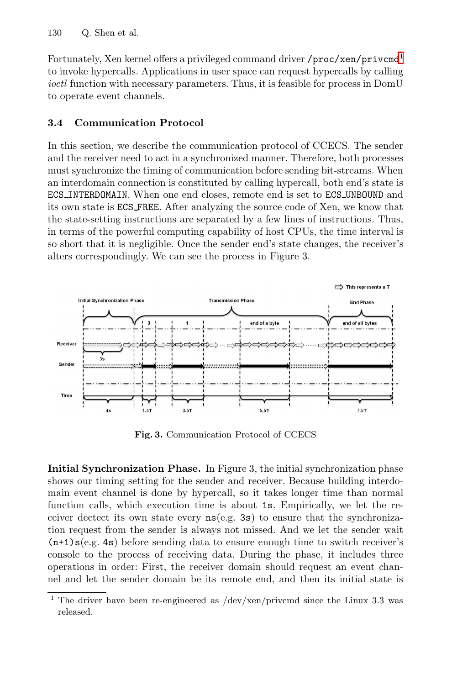130 Q. Shen et al.

Fortunately, Xen kernel offers a privileged command driver /proc/xen/privcmd<sup>1</sup> to invoke hypercalls. Applications in user space can request hypercalls by calling *ioctl* function with necessary parameters. Thus, it is feasible for process in DomU to operate event channels.

#### **3.4 Communication Protocol**

In this section, we describe the communication protocol of CCECS. The sender and the receiver need to act in a synchronized manner. Therefore, both processes must synchronize the timing of communication before sending bit-streams. When an interdomain connection is constituted by calling hypercall, both end's state is ECS INTERDOMAIN. When one end closes, remote end is set to ECS UNBOUND and its own state is ECS FREE. After analyzing the source code of Xen, we know that the state-setting instructions are separated by a few lines of instructions. Thus, in terms of the powerful computing capability of host CPUs, the time interval is so short that it is negligible. Once the sender end's state changes, the receiver's alters correspondingly. We can see the process in Figure 3.



**Fig. 3.** Communication Protocol of CCECS

**Initial Synchronization Phase.** In Figure 3, the initial synchronization phase shows our timing setting for the sender and receiver. Because building interdomain event channel is done by hypercall, so it takes longer time than normal function calls, which execution time is about 1s. Empirically, we let the receiver dectect its own state every ns(e.g. 3s) to ensure that the synchronization request from the sender is always not missed. And we let the sender wait  $(n+1)s(e.g. 4s)$  before sending data to ensure enough time to switch receiver's console to the process of receiving data. During the phase, it includes three operations in order: First, the receiver domain should request an event channel and let the sender domain be its remote end, and then its initial state is

The driver have been re-engineered as  $/$ dev/xen/privcmd since the Linux 3.3 was released.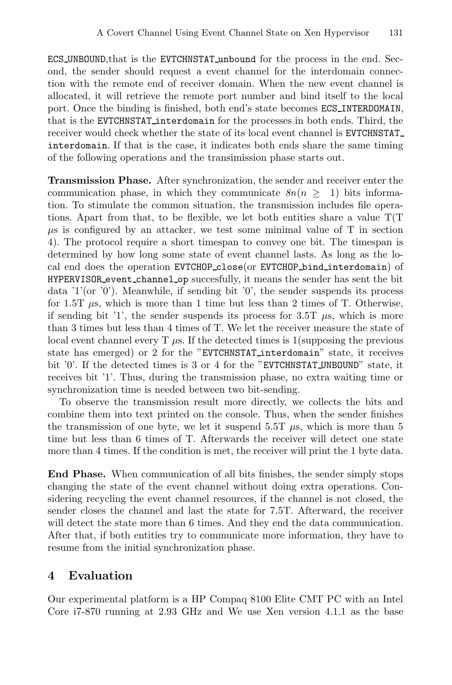ECS UNBOUND,that is the EVTCHNSTAT unbound for the process in the end. Second, the sender should request a event channel for the interdomain connection with the remote end of receiver domain. When the new event channel is allocated, it will retrieve the remote port number and bind itself to the local port. Once the binding is finished, both end's state becomes ECS INTERDOMAIN, that is the EVTCHNSTAT interdomain for the processes in both ends. Third, the receiver would check whether the state of its local event channel is EVTCHNSTAT interdomain. If that is the case, it indicates both ends share the same timing of the following operations and the transimission phase starts out.

**Transmission Phase.** After synchronization, the sender and receiver enter the communication phase, in which they communicate  $\delta n(n \geq 1)$  bits information. To stimulate the common situation, the transmission includes file operations. Apart from that, to be flexible, we let both entities share a value  $T(T)$  $\mu$ s is configured by an attacker, we test some minimal value of T in section 4). The protocol require a short timespan to convey one bit. The timespan is determined by how long some state of event channel lasts. As long as the local end does the operation EVTCHOP close(or EVTCHOP bind interdomain) of HYPERVISOR event channel op succesfully, it means the sender has sent the bit data  $1'$ (or  $'0'$ ). Meanwhile, if sending bit  $'0'$ , the sender suspends its process for 1.5T  $\mu$ s, which is more than 1 time but less than 2 times of T. Otherwise, if sending bit '1', the sender suspends its process for  $3.5T$   $\mu$ s, which is more than 3 times but less than 4 times of T. We let the receiver measure the state of local event channel every  $T \mu s$ . If the detected times is 1(supposing the previous state has emerged) or 2 for the "EVTCHNSTAT\_interdomain" state, it receives bit '0'. If the detected times is 3 or 4 for the "EVTCHNSTAT UNBOUND" state, it receives bit '1'. Thus, during the transmission phase, no extra waiting time or synchronization time is needed between two bit-sending.

To observe the transmission result more directly, we collects the bits and combine them into text printed on the console. Thus, when the sender finishes the transmission of one byte, we let it suspend 5.5T *µ*s, which is more than 5 time but less than 6 times of T. Afterwards the receiver will detect one state more than 4 times. If the condition is met, the receiver will print the 1 byte data.

**End Phase.** When communication of all bits finishes, the sender simply stops changing the state of the event channel without doing extra operations. Considering recycling the event channel resources, if the channel is not closed, the sender closes the channel and last the state for 7.5T. Afterward, the receiver will detect the state more than 6 times. And they end the data communication. After that, if both entities try to communicate more information, they have to resume from the initial synchronization phase.

# **4 Evaluation**

Our experimental platform is a HP Compaq 8100 Elite CMT PC with an Intel Core i7-870 running at 2.93 GHz and We use Xen version 4.1.1 as the base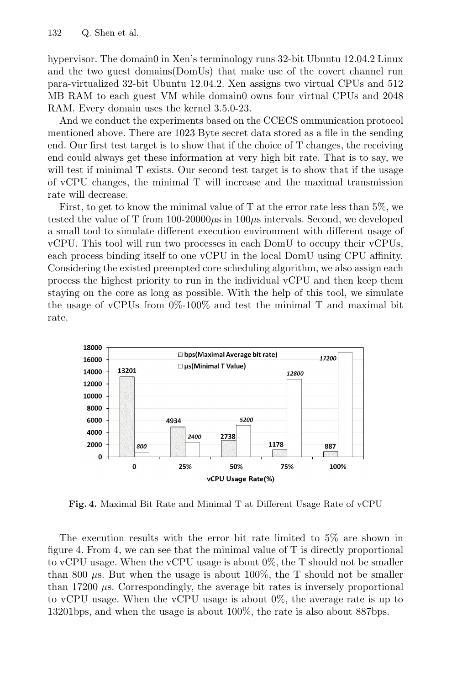hypervisor. The domain0 in Xen's terminology runs 32-bit Ubuntu 12.04.2 Linux and the two guest domains(DomUs) that make use of the covert channel run para-virtualized 32-bit Ubuntu 12.04.2. Xen assigns two virtual CPUs and 512 MB RAM to each guest VM while domain0 owns four virtual CPUs and 2048 RAM. Every domain uses the kernel 3.5.0-23.

And we conduct the experiments based on the CCECS ommunication protocol mentioned above. There are 1023 Byte secret data stored as a file in the sending end. Our first test target is to show that if the choice of T changes, the receiving end could always get these information at very high bit rate. That is to say, we will test if minimal T exists. Our second test target is to show that if the usage of vCPU changes, the minimal T will increase and the maximal transmission rate will decrease.

First, to get to know the minimal value of T at the error rate less than 5%, we tested the value of T from 100-20000*µ*s in 100*µ*s intervals. Second, we developed a small tool to simulate different execution environment with different usage of vCPU. This tool will run two processes in each DomU to occupy their vCPUs, each process binding itself to one vCPU in the local DomU using CPU affinity. Considering the existed preempted core scheduling algorithm, we also assign each process the highest priority to run in the individual vCPU and then keep them staying on the core as long as possible. With the help of this tool, we simulate the usage of vCPUs from 0%-100% and test the minimal T and maximal bit rate.



**Fig. 4.** Maximal Bit Rate and Minimal T at Different Usage Rate of vCPU

The execution results with the error bit rate limited to 5% are shown in figure 4. From 4, we can see that the minimal value of  $T$  is directly proportional to vCPU usage. When the vCPU usage is about 0%, the T should not be smaller than 800 *µ*s. But when the usage is about 100%, the T should not be smaller than 17200 *µ*s. Correspondingly, the average bit rates is inversely proportional to vCPU usage. When the vCPU usage is about 0%, the average rate is up to 13201bps, and when the usage is about 100%, the rate is also about 887bps.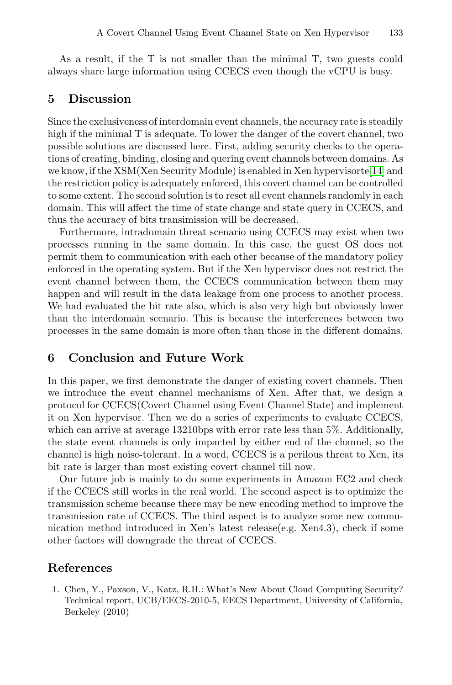As a result, if the T is not smaller than the minimal T, two guests could always share large information using CCECS even th[ough](#page-9-9) the vCPU is busy.

#### **5 Discussion**

Since the exclusiveness of interdomain event channels, the accuracy rate is steadily high if the minimal T is adequate. To lower the danger of the covert channel, two possible solutions are discussed here. First, adding security checks to the operations of creating, binding, closing and quering event channels between domains. As we know, if the XSM(Xen Security Module) is enabled in Xen hypervisorte[14] and the restriction policy is adequately enforced, this covert channel can be controlled to some extent. The second solution is to reset all event channels randomly in each domain. This will affect the time of state change and state query in CCECS, and thus the accuracy of bits transimission will be decreased.

Furthermore, intradomain threat scenario using CCECS may exist when two processes running in the same domain. In this case, the guest OS does not permit them to communication with each other because of the mandatory policy enforced in the operating system. But if the Xen hypervisor does not restrict the event channel between them, the CCECS communication between them may happen and will result in the data leakage from one process to another process. We had evaluated the bit rate also, which is also very high but obviously lower than the interdomain scenario. This is because the interferences between two processes in the same domain is more often than those in the different domains.

# **6 Conclusion and Future Work**

<span id="page-8-0"></span>In this paper, we first demonstrate the danger of existing covert channels. Then we introduce the event channel mechanisms of Xen. After that, we design a protocol for CCECS(Covert Channel using Event Channel State) and implement it on Xen hypervisor. Then we do a series of experiments to evaluate CCECS, which can arrive at average 13210bps with error rate less than 5\%. Additionally, the state event channels is only impacted by either end of the channel, so the channel is high noise-tolerant. In a word, CCECS is a perilous threat to Xen, its bit rate is larger than most existing covert channel till now.

Our future job is mainly to do some experiments in Amazon EC2 and check if the CCECS still works in the real world. The second aspect is to optimize the transmission scheme because there may be new encoding method to improve the transmission rate of CCECS. The third aspect is to analyze some new communication method introduced in Xen's latest release(e.g. Xen4.3), check if some other factors will downgrade the threat of CCECS.

#### **References**

1. Chen, Y., Paxson, V., Katz, R.H.: What's New About Cloud Computing Security? Technical report, UCB/EECS-2010-5, EECS Department, University of California, Berkeley (2010)